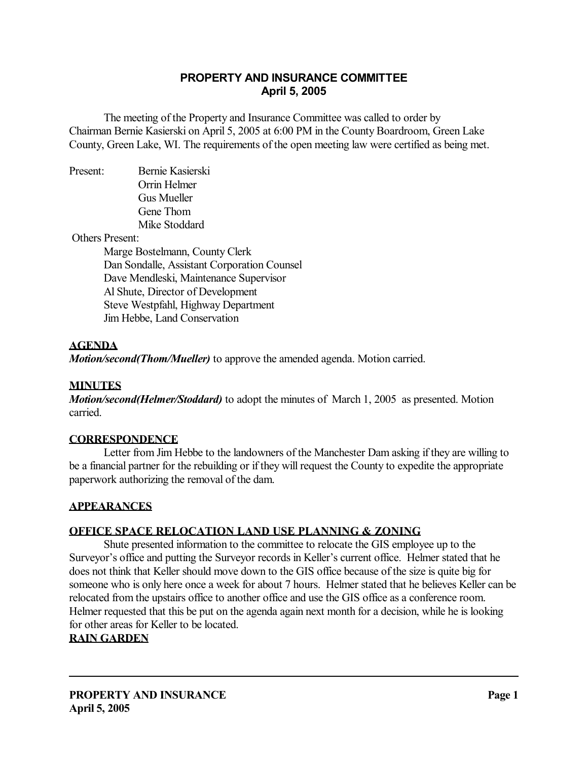# **PROPERTY AND INSURANCE COMMITTEE April 5, 2005**

 The meeting of the Property and Insurance Committee was called to order by Chairman Bernie Kasierski on April 5, 2005 at 6:00 PM in the County Boardroom, Green Lake County, Green Lake, WI. The requirements of the open meeting law were certified as being met.

Present: Bernie Kasierski Orrin Helmer Gus Mueller Gene Thom Mike Stoddard

Others Present:

 Marge Bostelmann, County Clerk Dan Sondalle, Assistant Corporation Counsel Dave Mendleski, Maintenance Supervisor Al Shute, Director of Development Steve Westpfahl, Highway Department Jim Hebbe, Land Conservation

# **AGENDA**

*Motion/second(Thom/Mueller)* to approve the amended agenda. Motion carried.

#### **MINUTES**

*Motion/second(Helmer/Stoddard)* to adopt the minutes of March 1, 2005 as presented. Motion carried.

# **CORRESPONDENCE**

 Letter from Jim Hebbe to the landowners of the Manchester Dam asking if they are willing to be a financial partner for the rebuilding or if they will request the County to expedite the appropriate paperwork authorizing the removal of the dam.

#### **APPEARANCES**

# **OFFICE SPACE RELOCATION LAND USE PLANNING & ZONING**

 Shute presented information to the committee to relocate the GIS employee up to the Surveyor's office and putting the Surveyor records in Keller's current office. Helmer stated that he does not think that Keller should move down to the GIS office because of the size is quite big for someone who is only here once a week for about 7 hours. Helmer stated that he believes Keller can be relocated from the upstairs office to another office and use the GIS office as a conference room. Helmer requested that this be put on the agenda again next month for a decision, while he is looking for other areas for Keller to be located.

# **RAIN GARDEN**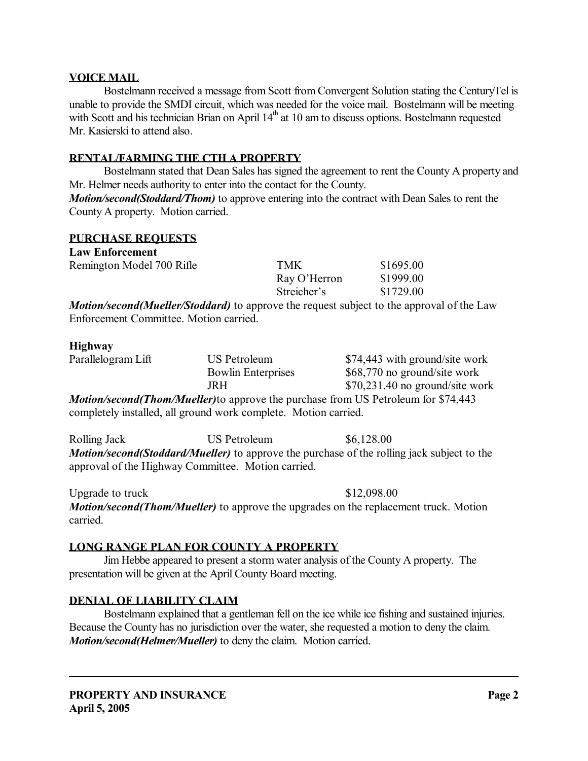### **VOICE MAIL**

 Bostelmann received a message from Scott from Convergent Solution stating the CenturyTel is unable to provide the SMDI circuit, which was needed for the voice mail. Bostelmann will be meeting with Scott and his technician Brian on April 14<sup>th</sup> at 10 am to discuss options. Bostelmann requested Mr. Kasierski to attend also.

### **RENTAL/FARMING THE CTH A PROPERTY**

 Bostelmann stated that Dean Sales has signed the agreement to rent the County A property and Mr. Helmer needs authority to enter into the contact for the County. *Motion/second(Stoddard/Thom)* to approve entering into the contract with Dean Sales to rent the County A property. Motion carried.

### **PURCHASE REQUESTS**

| <b>Law Enforcement</b>                                          |                           |              |                                                                                                  |
|-----------------------------------------------------------------|---------------------------|--------------|--------------------------------------------------------------------------------------------------|
| Remington Model 700 Rifle                                       |                           | <b>TMK</b>   | \$1695.00                                                                                        |
|                                                                 |                           | Ray O'Herron | \$1999.00                                                                                        |
|                                                                 |                           | Streicher's  | \$1729.00                                                                                        |
|                                                                 |                           |              | <i>Motion/second(Mueller/Stoddard)</i> to approve the request subject to the approval of the Law |
| Enforcement Committee. Motion carried.                          |                           |              |                                                                                                  |
| <b>Highway</b>                                                  |                           |              |                                                                                                  |
| Parallelogram Lift                                              | <b>US Petroleum</b>       |              | \$74,443 with ground/site work                                                                   |
|                                                                 | <b>Bowlin Enterprises</b> |              | \$68,770 no ground/site work                                                                     |
|                                                                 | <b>JRH</b>                |              | $$70,231.40$ no ground/site work                                                                 |
| completely installed, all ground work complete. Motion carried. |                           |              | <b>Motion/second(Thom/Mueller)</b> to approve the purchase from US Petroleum for \$74,443        |

Rolling Jack US Petroleum \$6,128.00 *Motion/second(Stoddard/Mueller)* to approve the purchase of the rolling jack subject to the approval of the Highway Committee. Motion carried.

Upgrade to truck \$12,098.00 *Motion/second(Thom/Mueller)* to approve the upgrades on the replacement truck. Motion carried.

# **LONG RANGE PLAN FOR COUNTY A PROPERTY**

 Jim Hebbe appeared to present a storm water analysis of the County A property. The presentation will be given at the April County Board meeting.

#### **DENIAL OF LIABILITY CLAIM**

 Bostelmann explained that a gentleman fell on the ice while ice fishing and sustained injuries. Because the County has no jurisdiction over the water, she requested a motion to deny the claim. *Motion/second(Helmer/Mueller)* to deny the claim. Motion carried.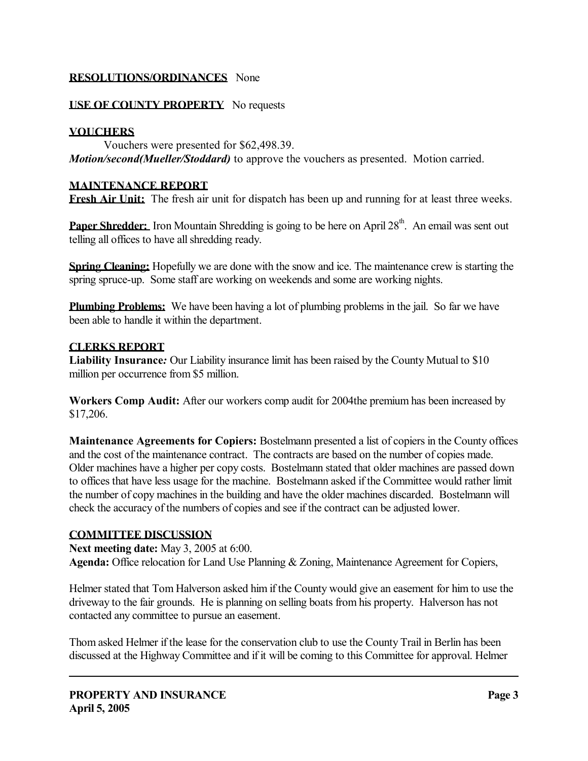### **RESOLUTIONS/ORDINANCES** None

### **USE OF COUNTY PROPERTY** No requests

#### **VOUCHERS**

 Vouchers were presented for \$62,498.39. *Motion/second(Mueller/Stoddard)* to approve the vouchers as presented. Motion carried.

### **MAINTENANCE REPORT**

**Fresh Air Unit:** The fresh air unit for dispatch has been up and running for at least three weeks.

**Paper Shredder:** Iron Mountain Shredding is going to be here on April 28<sup>th</sup>. An email was sent out telling all offices to have all shredding ready.

**Spring Cleaning:** Hopefully we are done with the snow and ice. The maintenance crew is starting the spring spruce-up. Some staff are working on weekends and some are working nights.

**Plumbing Problems:** We have been having a lot of plumbing problems in the jail. So far we have been able to handle it within the department.

#### **CLERKS REPORT**

**Liability Insurance***:* Our Liability insurance limit has been raised by the County Mutual to \$10 million per occurrence from \$5 million.

**Workers Comp Audit:** After our workers comp audit for 2004the premium has been increased by \$17,206.

**Maintenance Agreements for Copiers:** Bostelmann presented a list of copiers in the County offices and the cost of the maintenance contract. The contracts are based on the number of copies made. Older machines have a higher per copy costs. Bostelmann stated that older machines are passed down to offices that have less usage for the machine. Bostelmann asked if the Committee would rather limit the number of copy machines in the building and have the older machines discarded. Bostelmann will check the accuracy of the numbers of copies and see if the contract can be adjusted lower.

#### **COMMITTEE DISCUSSION**

**Next meeting date:** May 3, 2005 at 6:00. **Agenda:** Office relocation for Land Use Planning & Zoning, Maintenance Agreement for Copiers,

Helmer stated that Tom Halverson asked him if the County would give an easement for him to use the driveway to the fair grounds. He is planning on selling boats from his property. Halverson has not contacted any committee to pursue an easement.

Thom asked Helmer if the lease for the conservation club to use the County Trail in Berlin has been discussed at the Highway Committee and if it will be coming to this Committee for approval. Helmer